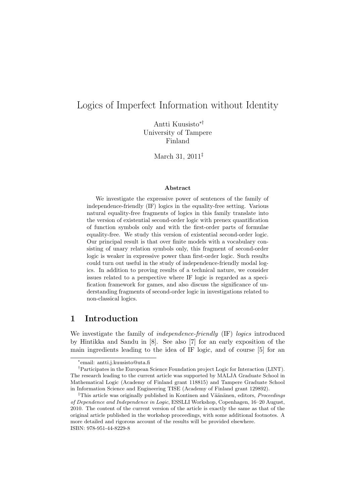# Logics of Imperfect Information without Identity

Antti Kuusisto∗† University of Tampere Finland

March 31, 2011‡

#### Abstract

We investigate the expressive power of sentences of the family of independence-friendly (IF) logics in the equality-free setting. Various natural equality-free fragments of logics in this family translate into the version of existential second-order logic with prenex quantification of function symbols only and with the first-order parts of formulae equality-free. We study this version of existential second-order logic. Our principal result is that over finite models with a vocabulary consisting of unary relation symbols only, this fragment of second-order logic is weaker in expressive power than first-order logic. Such results could turn out useful in the study of independence-friendly modal logics. In addition to proving results of a technical nature, we consider issues related to a perspective where IF logic is regarded as a specification framework for games, and also discuss the significance of understanding fragments of second-order logic in investigations related to non-classical logics.

## 1 Introduction

We investigate the family of *independence-friendly* (IF) *logics* introduced by Hintikka and Sandu in [8]. See also [7] for an early exposition of the main ingredients leading to the idea of IF logic, and of course [5] for an

<sup>∗</sup> email: antti.j.kuusisto@uta.fi

<sup>†</sup>Participates in the European Science Foundation project Logic for Interaction (LINT). The research leading to the current article was supported by MALJA Graduate School in Mathematical Logic (Academy of Finland grant 118815) and Tampere Graduate School in Information Science and Engineering TISE (Academy of Finland grant 129892).

<sup>&</sup>lt;sup>‡</sup>This article was originally published in Kontinen and Väänänen, editors, *Proceedings* of Dependence and Independence in Logic, ESSLLI Workshop, Copenhagen, 16–20 August, 2010. The content of the current version of the article is exactly the same as that of the original article published in the workshop proceedings, with some additional footnotes. A more detailed and rigorous account of the results will be provided elsewhere. ISBN: 978-951-44-8229-8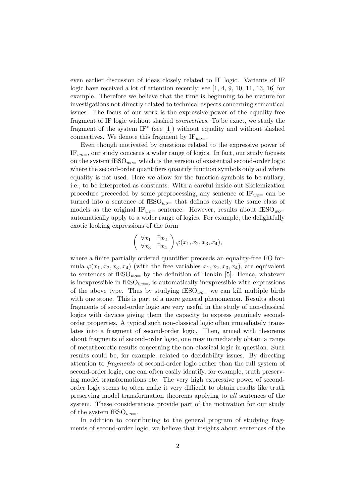even earlier discussion of ideas closely related to IF logic. Variants of IF logic have received a lot of attention recently; see  $[1, 4, 9, 10, 11, 13, 16]$  for example. Therefore we believe that the time is beginning to be mature for investigations not directly related to technical aspects concerning semantical issues. The focus of our work is the expressive power of the equality-free fragment of IF logic without slashed connectives. To be exact, we study the fragment of the system IF<sup>∗</sup> (see [1]) without equality and without slashed connectives. We denote this fragment by  $IF_{wo=}$ .

Even though motivated by questions related to the expressive power of  $IF_{wo=}$ , our study concerns a wider range of logics. In fact, our study focuses on the system  $fESO_{wo}=$  which is the version of existential second-order logic where the second-order quantifiers quantify function symbols only and where equality is not used. Here we allow for the function symbols to be nullary, i.e., to be interpreted as constants. With a careful inside-out Skolemization procedure preceeded by some preprocessing, any sentence of  $IF_{wo}=$  can be turned into a sentence of  $\text{fESO}_{wo}=$  that defines exactly the same class of models as the original  $IF_{wo}=$  sentence. However, results about  $fESO_{wo}=$ automatically apply to a wider range of logics. For example, the delightfully exotic looking expressions of the form

$$
\begin{pmatrix} \forall x_1 & \exists x_2 \\ \forall x_3 & \exists x_4 \end{pmatrix} \varphi(x_1, x_2, x_3, x_4),
$$

where a finite partially ordered quantifier preceeds an equality-free FO formula  $\varphi(x_1, x_2, x_3, x_4)$  (with the free variables  $x_1, x_2, x_3, x_4$ ), are equivalent to sentences of  $fESO_{wo}$  by the definition of Henkin [5]. Hence, whatever is inexpressible in  $\text{fESO}_{wo=1}$ , is automatically inexpressible with expressions of the above type. Thus by studying  $fESO_{wo}=$  we can kill multiple birds with one stone. This is part of a more general phenomenon. Results about fragments of second-order logic are very useful in the study of non-classical logics with devices giving them the capacity to express genuinely secondorder properties. A typical such non-classical logic often immediately translates into a fragment of second-order logic. Then, armed with theorems about fragments of second-order logic, one may immediately obtain a range of metatheoretic results concerning the non-classical logic in question. Such results could be, for example, related to decidability issues. By directing attention to fragments of second-order logic rather than the full system of second-order logic, one can often easily identify, for example, truth preserving model transformations etc. The very high expressive power of secondorder logic seems to often make it very difficult to obtain results like truth preserving model transformation theorems applying to all sentences of the system. These considerations provide part of the motivation for our study of the system  $fESO_{wo}=$ .

In addition to contributing to the general program of studying fragments of second-order logic, we believe that insights about sentences of the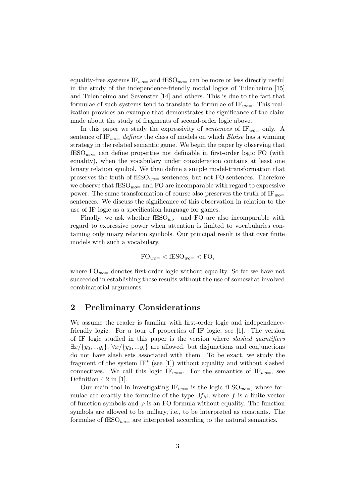equality-free systems  $IF_{wo}=$  and  $fESO_{wo}=$  can be more or less directly useful in the study of the independence-friendly modal logics of Tulenheimo [15] and Tulenheimo and Sevenster [14] and others. This is due to the fact that formulae of such systems tend to translate to formulae of  $IF_{wo}=$ . This realization provides an example that demonstrates the significance of the claim made about the study of fragments of second-order logic above.

In this paper we study the expressivity of *sentences* of  $IF_{wo}=$  only. A sentence of  $IF_{wo}=$  defines the class of models on which Eloise has a winning strategy in the related semantic game. We begin the paper by observing that  $fESO_{wo}=$  can define properties not definable in first-order logic FO (with equality), when the vocabulary under consideration contains at least one binary relation symbol. We then define a simple model-transformation that preserves the truth of  $fESO_{wo}=$  sentences, but not FO sentences. Therefore we observe that  $fESO_{wo}=$  and FO are incomparable with regard to expressive power. The same transformation of course also preserves the truth of  $IF_{wo}=$ sentences. We discuss the significance of this observation in relation to the use of IF logic as a specification language for games.

Finally, we ask whether  $fESO_{wo}=$  and FO are also incomparable with regard to expressive power when attention is limited to vocabularies containing only unary relation symbols. Our principal result is that over finite models with such a vocabulary,

$$
FO_{wo=} < fESO_{wo=} < FO,
$$

where  $FO_{wo}=$  denotes first-order logic without equality. So far we have not succeeded in establishing these results without the use of somewhat involved combinatorial arguments.

## 2 Preliminary Considerations

We assume the reader is familiar with first-order logic and independencefriendly logic. For a tour of properties of IF logic, see [1]. The version of IF logic studied in this paper is the version where slashed quantifiers  $\exists x/\{y_0, \ldots y_i\}, \forall x/\{y_0, \ldots y_i\}$  are allowed, but disjunctions and conjunctions do not have slash sets associated with them. To be exact, we study the fragment of the system  $IF^*$  (see [1]) without equality and without slashed connectives. We call this logic IF<sub>wo</sub>. For the semantics of IF<sub>wo</sub>, see Definition 4.2 in [1].

Our main tool in investigating  $IF_{wo=}$  is the logic fESO<sub>wo=</sub>, whose formulae are exactly the formulae of the type  $\exists \bar{f}\varphi$ , where  $\bar{f}$  is a finite vector of function symbols and  $\varphi$  is an FO formula without equality. The function symbols are allowed to be nullary, i.e., to be interpreted as constants. The formulae of  $fESO_{wo}=$  are interpreted according to the natural semantics.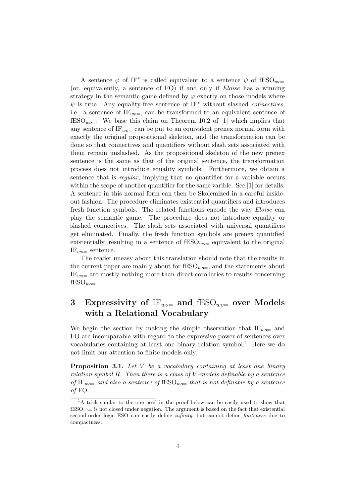A sentence  $\varphi$  of IF<sup>\*</sup> is called equivalent to a sentence  $\psi$  of fESO<sub>*wo*=</sub> (or, equivalently, a sentence of FO) if and only if Eloise has a winning strategy in the semantic game defined by  $\varphi$  exactly on those models where  $\psi$  is true. Any equality-free sentence of IF<sup>\*</sup> without slashed *connectives*, i.e., a sentence of  $IF_{wo=}$ , can be transformed to an equivalent sentence of  $fESO_{wo}=$ . We base this claim on Theorem 10.2 of [1] which implies that any sentence of IF<sub>wo=</sub> can be put to an equivalent prenex normal form with exactly the original propositional skeleton, and the transformation can be done so that connectives and quantifiers without slash sets associated with them remain unslashed. As the propositional skeleton of the new prenex sentence is the same as that of the original sentence, the transformation process does not introduce equality symbols. Furthermore, we obtain a sentence that is regular, implying that no quantifier for a variable occurs within the scope of another quantifier for the same varible. See [1] for details. A sentence in this normal form can then be Skolemized in a careful insideout fashion. The procedure eliminates existential quantifiers and introduces fresh function symbols. The related functions encode the way Eloise can play the semantic game. The procedure does not introduce equality or slashed connectives. The slash sets associated with universal quantifiers get eliminated. Finally, the fresh function symbols are prenex quantified existentially, resulting in a sentence of  $\text{fESO}_{wo}=$  equivalent to the original  $IF_{wo}=$  sentence.

The reader uneasy about this translation should note that the results in the current paper are mainly about for  $fESO_{wo=}$ , and the statements about  $IF_{wo}=$  are mostly nothing more than direct corollaries to results concerning  $fESO_{wo}$ .

# 3 Expressivity of  $IF_{wo}=$  and  $fESO_{wo}=$  over Models with a Relational Vocabulary

We begin the section by making the simple observation that  $IF_{wo}=$  and FO are incomparable with regard to the expressive power of sentences over vocabularies containing at least one binary relation symbol.<sup>1</sup> Here we do not limit our attention to finite models only.

**Proposition 3.1.** Let  $V$  be a vocabulary containing at least one binary relation symbol  $R$ . Then there is a class of  $V$ -models definable by a sentence of IF<sub>wo</sub> and also a sentence of fESO<sub>wo</sub> that is not definable by a sentence of FO.

<sup>&</sup>lt;sup>1</sup>A trick similar to the one used in the proof below can be easily used to show that  $fESO_{wo}$  is not closed under negation. The argument is based on the fact that existential second-order logic ESO can easily define infinity, but cannot define finiteness due to compactness.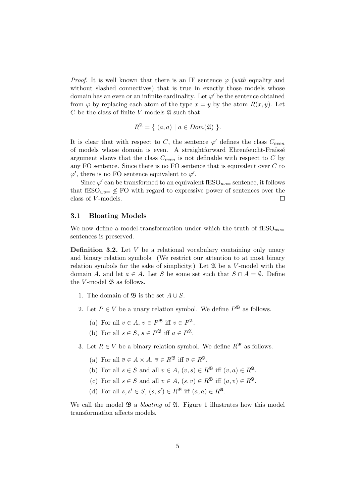*Proof.* It is well known that there is an IF sentence  $\varphi$  (with equality and without slashed connectives) that is true in exactly those models whose domain has an even or an infinite cardinality. Let  $\varphi'$  be the sentence obtained from  $\varphi$  by replacing each atom of the type  $x = y$  by the atom  $R(x, y)$ . Let  $C$  be the class of finite V-models  $\mathfrak A$  such that

$$
R^{\mathfrak{A}} = \{ (a, a) \mid a \in Dom(\mathfrak{A}) \}.
$$

It is clear that with respect to C, the sentence  $\varphi'$  defines the class  $C_{even}$ of models whose domain is even. A straightforward Ehrenfeucht-Fraïssé argument shows that the class  $C_{even}$  is not definable with respect to C by any FO sentence. Since there is no FO sentence that is equivalent over  $C$  to  $\varphi'$ , there is no FO sentence equivalent to  $\varphi'$ .

Since  $\varphi'$  can be transformed to an equivalent fESO<sub>*wo*=</sub> sentence, it follows that  $fESO_{wo} \leq FO$  with regard to expressive power of sentences over the class of V -models.  $\Box$ 

#### 3.1 Bloating Models

We now define a model-transformation under which the truth of  $\text{fESO}_{wo}$ sentences is preserved.

**Definition 3.2.** Let  $V$  be a relational vocabulary containing only unary and binary relation symbols. (We restrict our attention to at most binary relation symbols for the sake of simplicity.) Let  $\mathfrak{A}$  be a V-model with the domain A, and let  $a \in A$ . Let S be some set such that  $S \cap A = \emptyset$ . Define the V-model  $\mathfrak B$  as follows.

- 1. The domain of  $\mathfrak{B}$  is the set  $A \cup S$ .
- 2. Let  $P \in V$  be a unary relation symbol. We define  $P^{\mathfrak{B}}$  as follows.
	- (a) For all  $v \in A$ ,  $v \in P^{\mathfrak{B}}$  iff  $v \in P^{\mathfrak{A}}$ .
	- (b) For all  $s \in S$ ,  $s \in P^{\mathfrak{B}}$  iff  $a \in P^{\mathfrak{A}}$ .
- 3. Let  $R \in V$  be a binary relation symbol. We define  $R^{\mathfrak{B}}$  as follows.
	- (a) For all  $\overline{v} \in A \times A$ ,  $\overline{v} \in R^{\mathfrak{B}}$  iff  $\overline{v} \in R^{\mathfrak{A}}$ .
	- (b) For all  $s \in S$  and all  $v \in A$ ,  $(v, s) \in R^{\mathfrak{B}}$  iff  $(v, a) \in R^{\mathfrak{A}}$ .
	- (c) For all  $s \in S$  and all  $v \in A$ ,  $(s, v) \in R^{\mathfrak{B}}$  iff  $(a, v) \in R^{\mathfrak{A}}$ .
	- (d) For all  $s, s' \in S$ ,  $(s, s') \in R^{\mathfrak{B}}$  iff  $(a, a) \in R^{\mathfrak{A}}$ .

We call the model  $\mathfrak{B}$  a *bloating* of  $\mathfrak{A}$ . Figure 1 illustrates how this model transformation affects models.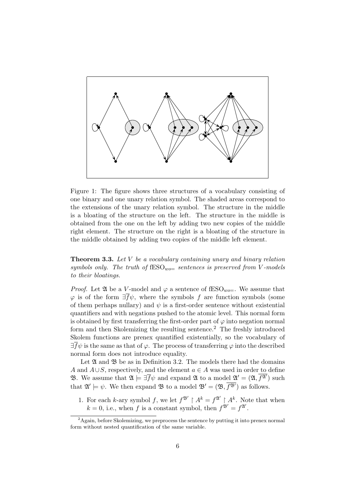

Figure 1: The figure shows three structures of a vocabulary consisting of one binary and one unary relation symbol. The shaded areas correspond to the extensions of the unary relation symbol. The structure in the middle is a bloating of the structure on the left. The structure in the middle is obtained from the one on the left by adding two new copies of the middle right element. The structure on the right is a bloating of the structure in the middle obtained by adding two copies of the middle left element.

**Theorem 3.3.** Let  $V$  be a vocabulary containing unary and binary relation symbols only. The truth of  $fESO_{wo}=$  sentences is preserved from V-models to their bloatings.

*Proof.* Let  $\mathfrak A$  be a V-model and  $\varphi$  a sentence of fESO<sub>*wo*=</sub>. We assume that  $\varphi$  is of the form  $\exists \bar{f}\psi$ , where the symbols f are function symbols (some of them perhaps nullary) and  $\psi$  is a first-order sentence without existential quantifiers and with negations pushed to the atomic level. This normal form is obtained by first transferring the first-order part of  $\varphi$  into negation normal form and then Skolemizing the resulting sentence.<sup>2</sup> The freshly introduced Skolem functions are prenex quantified existentially, so the vocabulary of  $\exists \bar{f}\psi$  is the same as that of  $\varphi$ . The process of transferring  $\varphi$  into the described normal form does not introduce equality.

Let  $\mathfrak A$  and  $\mathfrak B$  be as in Definition 3.2. The models there had the domains A and  $A\cup S$ , respectively, and the element  $a\in A$  was used in order to define **B**. We assume that  $\mathfrak{A} \models \exists \bar{f} \psi$  and expand  $\mathfrak{A}$  to a model  $\mathfrak{A}' = (\mathfrak{A}, \overline{f^{\mathfrak{A}'}})$  such that  $\mathfrak{A}' \models \psi$ . We then expand  $\mathfrak{B}$  to a model  $\mathfrak{B}' = (\mathfrak{B}, \overline{f^{\mathfrak{B}'}})$  as follows.

1. For each k-ary symbol f, we let  $f^{\mathfrak{B}'} \restriction A^k = f^{\mathfrak{A}'} \restriction A^k$ . Note that when  $k = 0$ , i.e., when f is a constant symbol, then  $f^{\mathfrak{B}'} = f^{\mathfrak{A}'}$ .

 $2A$ gain, before Skolemizing, we preprocess the sentence by putting it into prenex normal form without nested quantification of the same variable.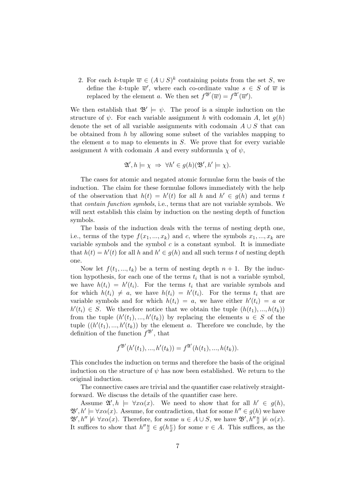2. For each k-tuple  $\overline{w} \in (A \cup S)^k$  containing points from the set S, we define the k-tuple  $\overline{w}'$ , where each co-ordinate value  $s \in S$  of  $\overline{w}$  is replaced by the element a. We then set  $f^{\mathfrak{B}'}(\overline{w}) = f^{\mathfrak{A}'}(\overline{w}')$ .

We then establish that  $\mathfrak{B}' \models \psi$ . The proof is a simple induction on the structure of  $\psi$ . For each variable assignment h with codomain A, let  $q(h)$ denote the set of all variable assignments with codomain  $A \cup S$  that can be obtained from  $h$  by allowing some subset of the variables mapping to the element  $a$  to map to elements in  $S$ . We prove that for every variable assignment h with codomain A and every subformula  $\chi$  of  $\psi$ ,

$$
\mathfrak{A}', h \models \chi \Rightarrow \forall h' \in g(h)(\mathfrak{B}', h' \models \chi).
$$

The cases for atomic and negated atomic formulae form the basis of the induction. The claim for these formulae follows immediately with the help of the observation that  $h(t) = h'(t)$  for all h and  $h' \in g(h)$  and terms t that contain function symbols, i.e., terms that are not variable symbols. We will next establish this claim by induction on the nesting depth of function symbols.

The basis of the induction deals with the terms of nesting depth one, i.e., terms of the type  $f(x_1, ..., x_k)$  and c, where the symbols  $x_1, ..., x_k$  are variable symbols and the symbol  $c$  is a constant symbol. It is immediate that  $h(t) = h'(t)$  for all h and  $h' \in g(h)$  and all such terms t of nesting depth one.

Now let  $f(t_1, ..., t_k)$  be a term of nesting depth  $n + 1$ . By the induction hypothesis, for each one of the terms  $t_i$  that is not a variable symbol, we have  $h(t_i) = h'(t_i)$ . For the terms  $t_i$  that are variable symbols and for which  $h(t_i) \neq a$ , we have  $h(t_i) = h'(t_i)$ . For the terms  $t_i$  that are variable symbols and for which  $h(t_i) = a$ , we have either  $h'(t_i) = a$  or  $h'(t_i) \in S$ . We therefore notice that we obtain the tuple  $(h(t_1),...,h(t_k))$ from the tuple  $(h'(t_1),...,h'(t_k))$  by replacing the elements  $u \in S$  of the tuple  $((h'(t_1),...,h'(t_k))$  by the element a. Therefore we conclude, by the definition of the function  $f^{\mathfrak{B}'}$ , that

$$
f^{\mathfrak{B}'}(h'(t_1),...,h'(t_k)) = f^{\mathfrak{A}'}(h(t_1),...,h(t_k)).
$$

This concludes the induction on terms and therefore the basis of the original induction on the structure of  $\psi$  has now been established. We return to the original induction.

The connective cases are trivial and the quantifier case relatively straightforward. We discuss the details of the quantifier case here.

Assume  $\mathfrak{A}', h \models \forall x \alpha(x)$ . We need to show that for all  $h' \in g(h)$ ,  $\mathfrak{B}', h' \models \forall x \alpha(x)$ . Assume, for contradiction, that for some  $h'' \in g(h)$  we have  $\mathfrak{B}', h'' \not\models \forall x \alpha(x)$ . Therefore, for some  $u \in A \cup S$ , we have  $\mathfrak{B}', h'' \frac{u}{x} \not\models \alpha(x)$ . It suffices to show that  $h''\frac{u}{x} \in g(h\frac{v}{x})$  $\frac{v}{x}$ ) for some  $v \in A$ . This suffices, as the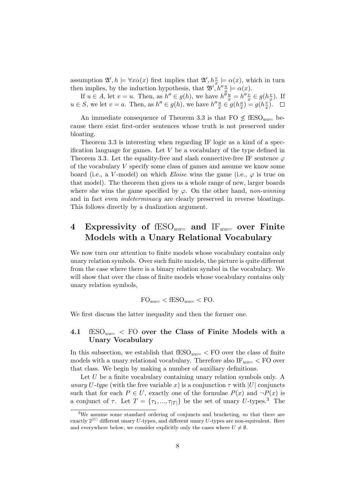assumption  $\mathfrak{A}', h \models \forall x \alpha(x)$  first implies that  $\mathfrak{A}', h_x^{\nu} \models \alpha(x)$ , which in turn then implies, by the induction hypothesis, that  $\mathfrak{B}', h''\frac{u}{x} \models \alpha(x)$ .

If  $u \in A$ , let  $v = u$ . Then, as  $h'' \in g(h)$ , we have  $h'' \frac{u}{x} = h'' \frac{v}{x} \in g(h^{\frac{v}{x}})$  $\frac{v}{x}$ ). If  $u \in S$ , we let  $v = a$ . Then, as  $h'' \in g(h)$ , we have  $h'' \frac{u}{x} \in g(h^{\frac{a}{x}})$  $\frac{a}{x}$ ) = g( $h\frac{v}{x}$  $\frac{v}{x}$ .

An immediate consequence of Theorem 3.3 is that  $FO \nleq fESO_{wo}$  because there exist first-order sentences whose truth is not preserved under bloating.

Theorem 3.3 is interesting when regarding IF logic as a kind of a specification language for games. Let  $V$  be a vocabulary of the type defined in Theorem 3.3. Let the equality-free and slash connective-free IF sentence  $\varphi$ of the vocabulary V specify some class of games and assume we know some board (i.e., a V-model) on which Eloise wins the game (i.e.,  $\varphi$  is true on that model). The theorem then gives us a whole range of new, larger boards where she wins the game specified by  $\varphi$ . On the other hand, non-winning and in fact even indeterminacy are clearly preserved in reverse bloatings. This follows directly by a dualization argument.

# 4 Expressivity of  $fESO_{wo}=$  and  $IF_{wo}=$  over Finite Models with a Unary Relational Vocabulary

We now turn our attention to finite models whose vocabulary contains only unary relation symbols. Over such finite models, the picture is quite different from the case where there is a binary relation symbol in the vocabulary. We will show that over the class of finite models whose vocabulary contains only unary relation symbols,

$$
FO_{wo=} < fESO_{wo=} < FO.
$$

We first discuss the latter inequality and then the former one.

### 4.1  $fESO_{wo}$  < FO over the Class of Finite Models with a Unary Vocabulary

In this subsection, we establish that  $fESO_{wo}=$  < FO over the class of finite models with a unary relational vocabulary. Therefore also  $IF_{wo}=$  < FO over that class. We begin by making a number of auxiliary definitions.

Let U be a finite vocabulary containing unary relation symbols only. A unary U-type (with the free variable x) is a conjunction  $\tau$  with |U| conjuncts such that for each  $P \in U$ , exactly one of the formulae  $P(x)$  and  $\neg P(x)$  is a conjunct of  $\tau$ . Let  $T = {\tau_1, ..., \tau_{|T|}}$  be the set of unary U-types.<sup>3</sup> The

 $\overline{\text{3We assume some standard ordering of conjuncts and bracketing, so that there are}$ exactly  $2^{|U|}$  different unary U-types, and different unary U-types are non-equivalent. Here and everywhere below, we consider explicitly only the cases where  $U \neq \emptyset$ .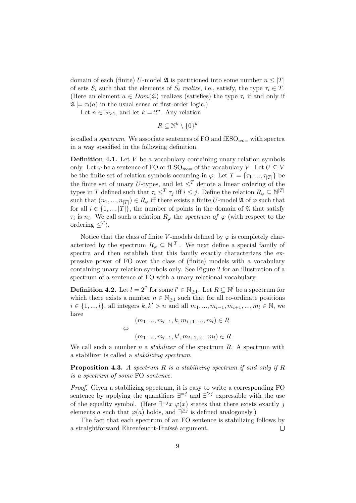domain of each (finite) U-model  $\mathfrak{A}$  is partitioned into some number  $n \leq |T|$ of sets  $S_i$  such that the elements of  $S_i$  realize, i.e., satisfy, the type  $\tau_i \in T$ . (Here an element  $a \in Dom(\mathfrak{A})$  realizes (satisfies) the type  $\tau_i$  if and only if  $\mathfrak{A} \models \tau_i(a)$  in the usual sense of first-order logic.)

Let  $n \in \mathbb{N}_{\geq 1}$ , and let  $k = 2^n$ . Any relation

 $R \subseteq \mathbb{N}^k \setminus \{0\}^k$ 

is called a *spectrum*. We associate sentences of FO and  $\text{fESO}_{wo}=$  with spectra in a way specified in the following definition.

**Definition 4.1.** Let  $V$  be a vocabulary containing unary relation symbols only. Let  $\varphi$  be a sentence of FO or fESO<sub>*wo*=</sub> of the vocabulary V. Let  $U \subseteq V$ be the finite set of relation symbols occurring in  $\varphi$ . Let  $T = \{\tau_1, ..., \tau_{|T|}\}$  be the finite set of unary U-types, and let  $\leq^T$  denote a linear ordering of the types in T defined such that  $\tau_i \leq^T \tau_j$  iff  $i \leq j$ . Define the relation  $R_\varphi \subseteq \mathbb{N}^{|T|}$ such that  $(n_1, ..., n_{|T|}) \in R_\varphi$  iff there exists a finite U-model  $\mathfrak A$  of  $\varphi$  such that for all  $i \in \{1, ..., |T|\}$ , the number of points in the domain of  $\mathfrak A$  that satisfy  $\tau_i$  is  $n_i$ . We call such a relation  $R_\varphi$  the *spectrum of*  $\varphi$  (with respect to the ordering  $\leq^T$ ).

Notice that the class of finite V-models defined by  $\varphi$  is completely characterized by the spectrum  $R_{\varphi} \subseteq \mathbb{N}^{|T|}$ . We next define a special family of spectra and then establish that this family exactly characterizes the expressive power of FO over the class of (finite) models with a vocabulary containing unary relation symbols only. See Figure 2 for an illustration of a spectrum of a sentence of FO with a unary relational vocabulary.

**Definition 4.2.** Let  $l = 2^{l'}$  for some  $l' \in \mathbb{N}_{\geq 1}$ . Let  $R \subseteq \mathbb{N}^l$  be a spectrum for which there exists a number  $n \in \mathbb{N}_{\geq 1}$  such that for all co-ordinate positions  $i \in \{1, ..., l\}$ , all integers  $k, k' > n$  and all  $m_1, ..., m_{i-1}, m_{i+1}, ..., m_l$  ∈ N, we have

$$
(m_1, ..., m_{i-1}, k, m_{i+1}, ..., m_l) \in R
$$
  

$$
\Leftrightarrow
$$
  

$$
(m_1, ..., m_{i-1}, k', m_{i+1}, ..., m_l) \in R.
$$

We call such a number n a *stabilizer* of the spectrum  $R$ . A spectrum with a stabilizer is called a stabilizing spectrum.

**Proposition 4.3.** A spectrum  $R$  is a stabilizing spectrum if and only if  $R$ is a spectrum of some FO sentence.

Proof. Given a stabilizing spectrum, it is easy to write a corresponding FO sentence by applying the quantifiers  $\exists^{=j}$  and  $\exists^{\geq j}$  expressible with the use of the equality symbol. (Here  $\exists^{=j} x \varphi(x)$  states that there exists exactly j elements a such that  $\varphi(a)$  holds, and  $\exists^{\geq j}$  is defined analogously.)

The fact that each spectrum of an FO sentence is stabilizing follows by a straightforward Ehrenfeucht-Fraïssé argument.  $\Box$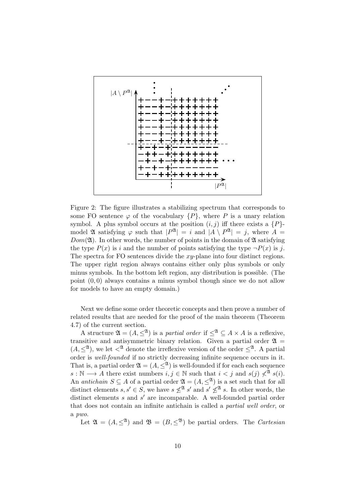

Figure 2: The figure illustrates a stabilizing spectrum that corresponds to some FO sentence  $\varphi$  of the vocabulary  $\{P\}$ , where P is a unary relation symbol. A plus symbol occurs at the position  $(i, j)$  iff there exists a  $\{P\}$ model **2** satisfying  $\varphi$  such that  $|P^{\mathfrak{A}}| = i$  and  $|A \setminus P^{\mathfrak{A}}| = j$ , where  $A =$  $Dom(\mathfrak{A})$ . In other words, the number of points in the domain of  $\mathfrak A$  satisfying the type  $P(x)$  is i and the number of points satisfying the type  $\neg P(x)$  is j. The spectra for FO sentences divide the  $xy$ -plane into four distinct regions. The upper right region always contains either only plus symbols or only minus symbols. In the bottom left region, any distribution is possible. (The point (0, 0) always contains a minus symbol though since we do not allow for models to have an empty domain.)

Next we define some order theoretic concepts and then prove a number of related results that are needed for the proof of the main theorem (Theorem 4.7) of the current section.

A structure  $\mathfrak{A} = (A, \leq^{\mathfrak{A}})$  is a partial order if  $\leq^{\mathfrak{A}} \subseteq A \times A$  is a reflexive, transitive and antisymmetric binary relation. Given a partial order  $\mathfrak{A} =$  $(A, \leq^{\mathfrak{A}})$ , we let  $\lt^{\mathfrak{A}}$  denote the irreflexive version of the order  $\leq^{\mathfrak{A}}$ . A partial order is well-founded if no strictly decreasing infinite sequence occurs in it. That is, a partial order  $\mathfrak{A} = (A, \leq^{\mathfrak{A}})$  is well-founded if for each each sequence  $s : \mathbb{N} \longrightarrow A$  there exist numbers  $i, j \in \mathbb{N}$  such that  $i < j$  and  $s(j) \nless^{\mathfrak{A}} s(i)$ . An antichain  $S \subseteq A$  of a partial order  $\mathfrak{A} = (A, \leq^{\mathfrak{A}})$  is a set such that for all distinct elements  $s, s' \in S$ , we have  $s \nleq^{\mathfrak{A}} s'$  and  $s' \nleq^{\mathfrak{A}} s$ . In other words, the distinct elements  $s$  and  $s'$  are incomparable. A well-founded partial order that does not contain an infinite antichain is called a partial well order, or a pwo.

Let  $\mathfrak{A} = (A, \leq^{\mathfrak{A}})$  and  $\mathfrak{B} = (B, \leq^{\mathfrak{B}})$  be partial orders. The *Cartesian*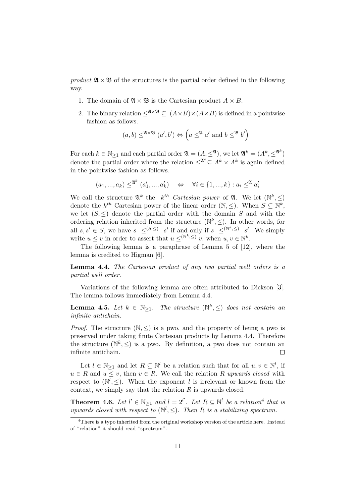product  $\mathfrak{A} \times \mathfrak{B}$  of the structures is the partial order defined in the following way.

- 1. The domain of  $\mathfrak{A} \times \mathfrak{B}$  is the Cartesian product  $A \times B$ .
- 2. The binary relation  $\leq^{\mathfrak{A}\times\mathfrak{B}} \subseteq (A\times B)\times(A\times B)$  is defined in a pointwise fashion as follows.

$$
(a, b) \leq^{\mathfrak{A} \times \mathfrak{B}} (a', b') \Leftrightarrow (a \leq^{\mathfrak{A}} a' \text{ and } b \leq^{\mathfrak{B}} b')
$$

For each  $k \in \mathbb{N}_{\geq 1}$  and each partial order  $\mathfrak{A} = (A, \leq^{\mathfrak{A}})$ , we let  $\mathfrak{A}^k = (A^k, \leq^{\mathfrak{A}^k})$ denote the partial order where the relation  $\leq^{\mathfrak{A}^k} \subseteq A^k \times A^k$  is again defined in the pointwise fashion as follows.

$$
(a_1,...,a_k) \leq^{\mathfrak{A}^k} (a'_1,...,a'_k) \quad \Leftrightarrow \quad \forall i \in \{1,...,k\} : a_i \leq^{\mathfrak{A}} a'_i
$$

We call the structure  $\mathfrak{A}^k$  the  $k^{th}$  Cartesian power of  $\mathfrak{A}$ . We let  $(\mathbb{N}^k, \leq)$ denote the  $k^{th}$  Cartesian power of the linear order  $(\mathbb{N}, \leq)$ . When  $S \subseteq \mathbb{N}^k$ , we let  $(S, \leq)$  denote the partial order with the domain S and with the ordering relation inherited from the structure  $(\mathbb{N}^k, \leq)$ . In other words, for all  $\overline{s}, \overline{s}' \in S$ , we have  $\overline{s} \leq^{(S, \leq)} \overline{s}'$  if and only if  $\overline{s} \leq^{(\mathbb{N}^k, \leq)} \overline{s}'$ . We simply write  $\overline{u} \leq \overline{v}$  in order to assert that  $\overline{u} \leq^{(\mathbb{N}^k,\leq)} \overline{v}$ , when  $\overline{u}, \overline{v} \in \mathbb{N}^k$ .

The following lemma is a paraphrase of Lemma 5 of [12], where the lemma is credited to Higman [6].

Lemma 4.4. The Cartesian product of any two partial well orders is a partial well order.

Variations of the following lemma are often attributed to Dickson [3]. The lemma follows immediately from Lemma 4.4.

**Lemma 4.5.** Let  $k \in \mathbb{N}_{\geq 1}$ . The structure  $(\mathbb{N}^k, \leq)$  does not contain an infinite antichain.

*Proof.* The structure  $(\mathbb{N}, \leq)$  is a pwo, and the property of being a pwo is preserved under taking finite Cartesian products by Lemma 4.4. Therefore the structure  $(\mathbb{N}^k, \leq)$  is a pwo. By definition, a pwo does not contain an infinite antichain.  $\Box$ 

Let  $l \in \mathbb{N}_{\geq 1}$  and let  $R \subseteq \mathbb{N}^l$  be a relation such that for all  $\overline{u}, \overline{v} \in \mathbb{N}^l$ , if  $\overline{u} \in R$  and  $\overline{u} \leq \overline{v}$ , then  $\overline{v} \in R$ . We call the relation R upwards closed with respect to  $(N^l, \leq)$ . When the exponent l is irrelevant or known from the context, we simply say that the relation  $R$  is upwards closed.

**Theorem 4.6.** Let  $l' \in \mathbb{N}_{\geq 1}$  and  $l = 2^{l'}$ . Let  $R \subseteq \mathbb{N}^l$  be a relation<sup>4</sup> that is upwards closed with respect to  $(\mathbb{N}^l, \leq)$ . Then R is a stabilizing spectrum.

 $4$ There is a typo inherited from the original workshop version of the article here. Instead of "relation" it should read "spectrum".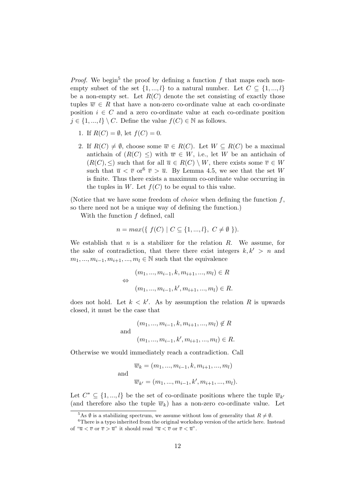*Proof.* We begin<sup>5</sup> the proof by defining a function f that maps each nonempty subset of the set  $\{1, ..., l\}$  to a natural number. Let  $C \subseteq \{1, ..., l\}$ be a non-empty set. Let  $R(C)$  denote the set consisting of exactly those tuples  $\overline{w} \in R$  that have a non-zero co-ordinate value at each co-ordinate position  $i \in C$  and a zero co-ordinate value at each co-ordinate position  $j \in \{1, ..., l\} \setminus C$ . Define the value  $f(C) \in \mathbb{N}$  as follows.

- 1. If  $R(C) = \emptyset$ , let  $f(C) = 0$ .
- 2. If  $R(C) \neq \emptyset$ , choose some  $\overline{w} \in R(C)$ . Let  $W \subseteq R(C)$  be a maximal antichain of  $(R(C) \leq)$  with  $\overline{w} \in W$ , i.e., let W be an antichain of  $(R(C), \leq)$  such that for all  $\overline{u} \in R(C) \setminus W$ , there exists some  $\overline{v} \in W$ such that  $\overline{u} < \overline{v}$  or  $\overline{v} > \overline{u}$ . By Lemma 4.5, we see that the set W is finite. Thus there exists a maximum co-ordinate value occurring in the tuples in W. Let  $f(C)$  to be equal to this value.

(Notice that we have some freedom of *choice* when defining the function  $f$ , so there need not be a unique way of defining the function.)

With the function  $f$  defined, call

$$
n = max({ f(C) | C \subseteq {1, ..., l}, C \neq \emptyset }).
$$

We establish that n is a stabilizer for the relation  $R$ . We assume, for the sake of contradiction, that there there exist integers  $k, k' > n$  and  $m_1, ..., m_{i-1}, m_{i+1}, ..., m_l \in \mathbb{N}$  such that the equivalence

$$
(m_1, ..., m_{i-1}, k, m_{i+1}, ..., m_l) \in R
$$
  

$$
\Leftrightarrow
$$
  

$$
(m_1, ..., m_{i-1}, k', m_{i+1}, ..., m_l) \in R.
$$

does not hold. Let  $k < k'$ . As by assumption the relation R is upwards closed, it must be the case that

$$
(m_1, ..., m_{i-1}, k, m_{i+1}, ..., m_l) \notin R
$$
  
and  

$$
(m_1, ..., m_{i-1}, k', m_{i+1}, ..., m_l) \in R.
$$

Otherwise we would immediately reach a contradiction. Call

$$
\overline{w}_k = (m_1, ..., m_{i-1}, k, m_{i+1}, ..., m_l)
$$
  
and  
 $\overline{w}_{k'} = (m_1, ..., m_{i-1}, k', m_{i+1}, ..., m_l).$ 

Let  $C^* \subseteq \{1, ..., l\}$  be the set of co-ordinate positions where the tuple  $\overline{w}_{k'}$ (and therefore also the tuple  $\overline{w}_k$ ) has a non-zero co-ordinate value. Let

<sup>&</sup>lt;sup>5</sup>As  $\emptyset$  is a stabilizing spectrum, we assume without loss of generality that  $R \neq \emptyset$ .

<sup>&</sup>lt;sup>6</sup>There is a typo inherited from the original workshop version of the article here. Instead of " $\overline{u} < \overline{v}$  or  $\overline{v} > \overline{u}$ " it should read " $\overline{u} < \overline{v}$  or  $\overline{v} < \overline{u}$ ".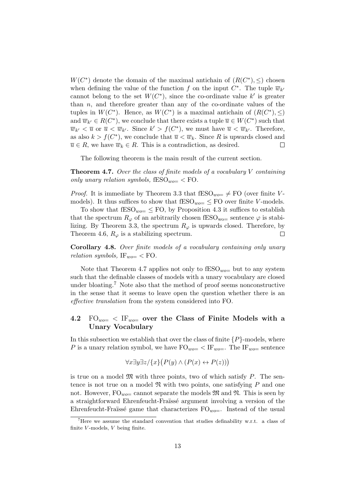$W(C^*)$  denote the domain of the maximal antichain of  $(R(C^*), \leq)$  chosen when defining the value of the function f on the input  $C^*$ . The tuple  $\overline{w}_{k'}$ cannot belong to the set  $W(C^*)$ , since the co-ordinate value k' is greater than  $n$ , and therefore greater than any of the co-ordinate values of the tuples in  $W(C^*)$ . Hence, as  $W(C^*)$  is a maximal antichain of  $(R(C^*) , \leq )$ and  $\overline{w}_{k'} \in R(C^*)$ , we conclude that there exists a tuple  $\overline{u} \in W(C^*)$  such that  $\overline{w}_{k'} < \overline{u}$  or  $\overline{u} < \overline{w}_{k'}$ . Since  $k' > f(C^*)$ , we must have  $\overline{u} < \overline{w}_{k'}$ . Therefore, as also  $k > f(C^*)$ , we conclude that  $\overline{u} < \overline{w}_k$ . Since R is upwards closed and  $\overline{u} \in R$ , we have  $\overline{w}_k \in R$ . This is a contradiction, as desired.  $\Box$ 

The following theorem is the main result of the current section.

**Theorem 4.7.** Over the class of finite models of a vocabulary  $V$  containing only unary relation symbols,  $fESO_{wo} \leq FO$ .

*Proof.* It is immediate by Theorem 3.3 that  $fESO_{wo} \neq FO$  (over finite Vmodels). It thus suffices to show that  $\text{fESO}_{wo} \leq \text{FO}$  over finite V-models.

To show that  $\text{fESO}_{wo} \leq \text{FO}$ , by Proposition 4.3 it suffices to establish that the spectrum  $R_{\varphi}$  of an arbitrarily chosen fESO<sub>wo</sub>= sentence  $\varphi$  is stabilizing. By Theorem 3.3, the spectrum  $R_{\varphi}$  is upwards closed. Therefore, by Theorem 4.6,  $R_{\varphi}$  is a stabilizing spectrum.  $\Box$ 

Corollary 4.8. Over finite models of a vocabulary containing only unary relation symbols,  $IF_{wo=}$  < FO.

Note that Theorem 4.7 applies not only to  $\text{fESO}_{wo}$  but to any system such that the definable classes of models with a unary vocabulary are closed under bloating.<sup>7</sup> Note also that the method of proof seems nonconstructive in the sense that it seems to leave open the question whether there is an effective translation from the system considered into FO.

### 4.2  $FO_{wo}=$  < IF<sub>wo</sub> over the Class of Finite Models with a Unary Vocabulary

In this subsection we establish that over the class of finite  $\{P\}$ -models, where P is a unary relation symbol, we have  $\text{FO}_{wo=} < \text{IF}_{wo=}$ . The  $\text{IF}_{wo=}$  sentence

$$
\forall x \exists y \exists z / \{x\} \big( P(y) \land (P(x) \leftrightarrow P(z)) \big)
$$

is true on a model  $\mathfrak{M}$  with three points, two of which satisfy P. The sentence is not true on a model  $\mathfrak N$  with two points, one satisfying P and one not. However,  $FO_{wo}=$  cannot separate the models  $\mathfrak{M}$  and  $\mathfrak{N}$ . This is seen by a straightforward Ehrenfeucht-Fraïssé argument involving a version of the Ehrenfeucht-Fraüssé game that characterizes  $FO_{wo-}$ . Instead of the usual

<sup>&</sup>lt;sup>7</sup>Here we assume the standard convention that studies definability w.r.t. a class of finite  $V$ -models,  $V$  being finite.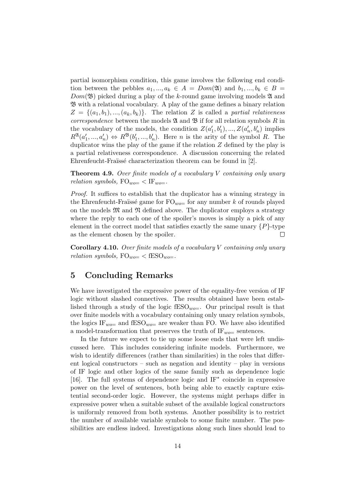partial isomorphism condition, this game involves the following end condition between the pebbles  $a_1, ..., a_k \in A = Dom(\mathfrak{A})$  and  $b_1, ..., b_k \in B$  $Dom(\mathfrak{B})$  picked during a play of the k-round game involving models  $\mathfrak A$  and B with a relational vocabulary. A play of the game defines a binary relation  $Z = \{(a_1, b_1), ..., (a_k, b_k)\}\$ . The relation Z is called a partial relativeness *correspondence* between the models  $\mathfrak A$  and  $\mathfrak B$  if for all relation symbols  $R$  in the vocabulary of the models, the condition  $Z(a'_1, b'_1), ..., Z(a'_n, b'_n)$  implies  $R^{\mathfrak{A}}(a'_1,...,a'_n) \Leftrightarrow R^{\mathfrak{B}}(b'_1,...,b'_n)$ . Here *n* is the arity of the symbol *R*. The duplicator wins the play of the game if the relation Z defined by the play is a partial relativeness correspondence. A discussion concerning the related Ehrenfeucht-Fraüssé characterization theorem can be found in [2].

**Theorem 4.9.** Over finite models of a vocabulary  $V$  containing only unary relation symbols,  $FO_{wo=} < IF_{wo}$ .

Proof. It suffices to establish that the duplicator has a winning strategy in the Ehrenfeucht-Fraïssé game for  $\mathrm{FO}_{wo}$  for any number k of rounds played on the models  $\mathfrak{M}$  and  $\mathfrak{N}$  defined above. The duplicator employs a strategy where the reply to each one of the spoiler's moves is simply a pick of any element in the correct model that satisfies exactly the same unary  $\{P\}$ -type as the element chosen by the spoiler.  $\Box$ 

**Corollary 4.10.** Over finite models of a vocabulary V containing only unary relation symbols,  $FO_{wo=} < fESO_{wo}$ .

# 5 Concluding Remarks

We have investigated the expressive power of the equality-free version of IF logic without slashed connectives. The results obtained have been established through a study of the logic  $fESO_{wo}=$ . Our principal result is that over finite models with a vocabulary containing only unary relation symbols, the logics IF<sub>wo=</sub> and fESO<sub>wo=</sub> are weaker than FO. We have also identified a model-transformation that preserves the truth of  $IF_{wo}=$  sentences.

In the future we expect to tie up some loose ends that were left undiscussed here. This includes considering infinite models. Furthermore, we wish to identify differences (rather than similarities) in the roles that different logical constructors – such as negation and identity – play in versions of IF logic and other logics of the same family such as dependence logic [16]. The full systems of dependence logic and IF<sup>\*</sup> coincide in expressive power on the level of sentences, both being able to exactly capture existential second-order logic. However, the systems might perhaps differ in expressive power when a suitable subset of the available logical constructors is uniformly removed from both systems. Another possibility is to restrict the number of available variable symbols to some finite number. The possibilities are endless indeed. Investigations along such lines should lead to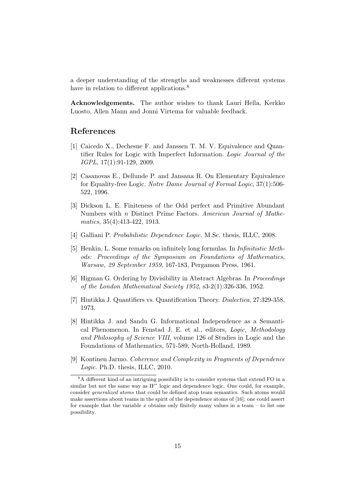a deeper understanding of the strengths and weaknesses different systems have in relation to different applications.<sup>8</sup>

Acknowledgements. The author wishes to thank Lauri Hella, Kerkko Luosto, Allen Mann and Jonni Virtema for valuable feedback.

## References

- [1] Caicedo X., Dechesne F. and Janssen T. M. V. Equivalence and Quantifier Rules for Logic with Imperfect Information. Logic Journal of the IGPL, 17(1):91-129, 2009.
- [2] Casanovas E., Dellunde P. and Jansana R. On Elementary Equivalence for Equality-free Logic. Notre Dame Journal of Formal Logic, 37(1):506- 522, 1996.
- [3] Dickson L. E. Finiteness of the Odd perfect and Primitive Abundant Numbers with n Distinct Prime Factors. American Journal of Mathematics, 35(4):413-422, 1913.
- [4] Galliani P. Probabilistic Dependence Logic. M.Sc. thesis, ILLC, 2008.
- [5] Henkin, L. Some remarks on infinitely long formulas. In Infinitistic Methods: Proceedings of the Symposium on Foundations of Mathematics, Warsaw, 29 September 1959, 167-183, Pergamon Press, 1961.
- [6] Higman G. Ordering by Divisibility in Abstract Algebras. In Proceedings of the London Mathematical Society 1952, s3-2(1):326-336, 1952.
- [7] Hintikka J. Quantifiers vs. Quantification Theory. Dialectica, 27:329-358, 1973.
- [8] Hintikka J. and Sandu G. Informational Independence as a Semantical Phenomenon. In Fenstad J. E. et al., editors, Logic, Methodology and Philosophy of Science VIII, volume 126 of Studies in Logic and the Foundations of Mathematics, 571-589, North-Holland, 1989.
- [9] Kontinen Jarmo. Coherence and Complexity in Fragments of Dependence Logic. Ph.D. thesis, ILLC, 2010.

<sup>&</sup>lt;sup>8</sup>A different kind of an intriguing possibility is to consider systems that extend FO in a similar but not the same way as IF<sup>\*</sup> logic and dependence logic. One could, for example, consider generalized atoms that could be defined atop team semantics. Such atoms would make assertions about teams in the spirit of the dependence atoms of [16]; one could assert for example that the variable x obtains only finitely many values in a team – to list one possibility.